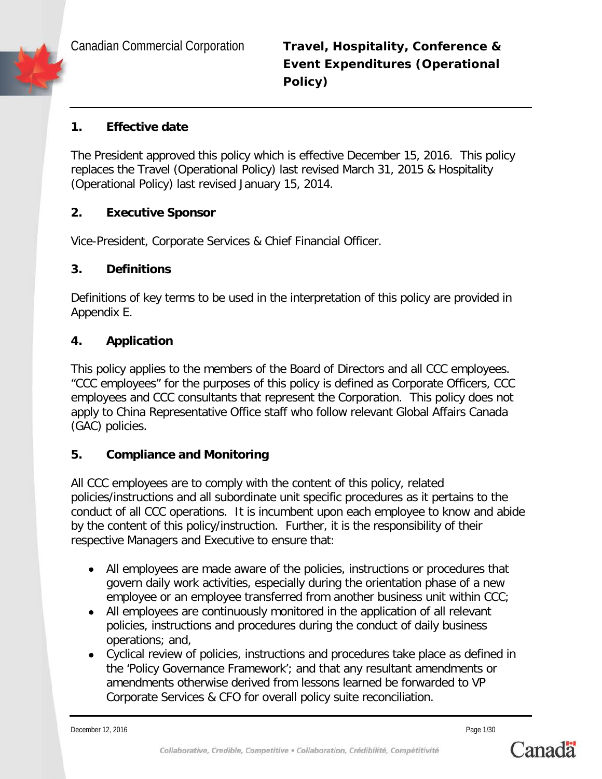### **1. Effective date**

The President approved this policy which is effective December 15, 2016. This policy replaces the Travel (Operational Policy) last revised March 31, 2015 & Hospitality (Operational Policy) last revised January 15, 2014.

### **2. Executive Sponsor**

Vice-President, Corporate Services & Chief Financial Officer.

### **3. Definitions**

Definitions of key terms to be used in the interpretation of this policy are provided in Appendix E.

## **4. Application**

This policy applies to the members of the Board of Directors and all CCC employees. "CCC employees" for the purposes of this policy is defined as Corporate Officers, CCC employees and CCC consultants that represent the Corporation. This policy does not apply to China Representative Office staff who follow relevant Global Affairs Canada (GAC) policies.

## **5. Compliance and Monitoring**

All CCC employees are to comply with the content of this policy, related policies/instructions and all subordinate unit specific procedures as it pertains to the conduct of all CCC operations. It is incumbent upon each employee to know and abide by the content of this policy/instruction. Further, it is the responsibility of their respective Managers and Executive to ensure that:

- All employees are made aware of the policies, instructions or procedures that govern daily work activities, especially during the orientation phase of a new employee or an employee transferred from another business unit within CCC;
- All employees are continuously monitored in the application of all relevant policies, instructions and procedures during the conduct of daily business operations; and,
- Cyclical review of policies, instructions and procedures take place as defined in the 'Policy Governance Framework'; and that any resultant amendments or amendments otherwise derived from lessons learned be forwarded to VP Corporate Services & CFO for overall policy suite reconciliation.

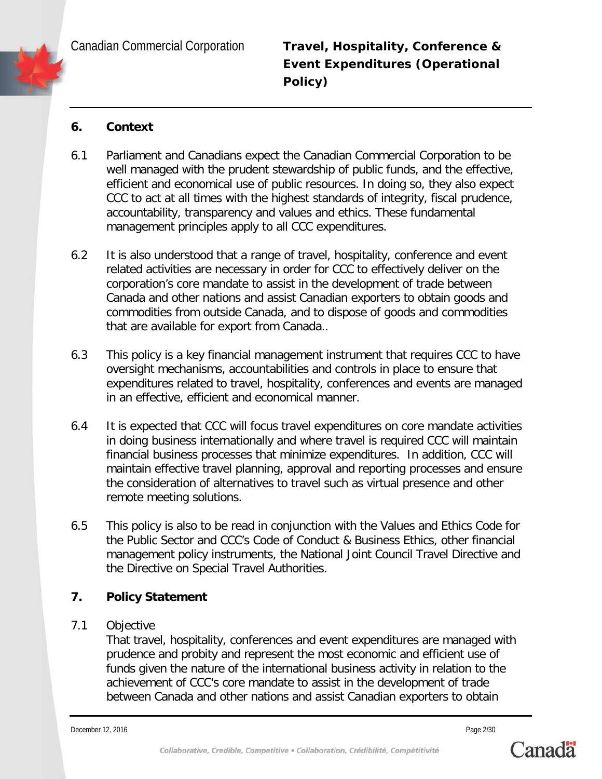

### **6. Context**

- 6.1 Parliament and Canadians expect the Canadian Commercial Corporation to be well managed with the prudent stewardship of public funds, and the effective, efficient and economical use of public resources. In doing so, they also expect CCC to act at all times with the highest standards of integrity, fiscal prudence, accountability, transparency and values and ethics. These fundamental management principles apply to all CCC expenditures.
- 6.2 It is also understood that a range of travel, hospitality, conference and event related activities are necessary in order for CCC to effectively deliver on the corporation's core mandate to assist in the development of trade between Canada and other nations and assist Canadian exporters to obtain goods and commodities from outside Canada, and to dispose of goods and commodities that are available for export from Canada..
- 6.3 This policy is a key financial management instrument that requires CCC to have oversight mechanisms, accountabilities and controls in place to ensure that expenditures related to travel, hospitality, conferences and events are managed in an effective, efficient and economical manner.
- 6.4 It is expected that CCC will focus travel expenditures on core mandate activities in doing business internationally and where travel is required CCC will maintain financial business processes that minimize expenditures. In addition, CCC will maintain effective travel planning, approval and reporting processes and ensure the consideration of alternatives to travel such as virtual presence and other remote meeting solutions.
- 6.5 This policy is also to be read in conjunction with the Values and Ethics Code for the Public Sector and CCC's Code of Conduct & Business Ethics, other financial management policy instruments, the National Joint Council Travel Directive and the Directive on Special Travel Authorities.

## **7. Policy Statement**

### 7.1 Objective

That travel, hospitality, conferences and event expenditures are managed with prudence and probity and represent the most economic and efficient use of funds given the nature of the international business activity in relation to the achievement of CCC's core mandate to assist in the development of trade between Canada and other nations and assist Canadian exporters to obtain

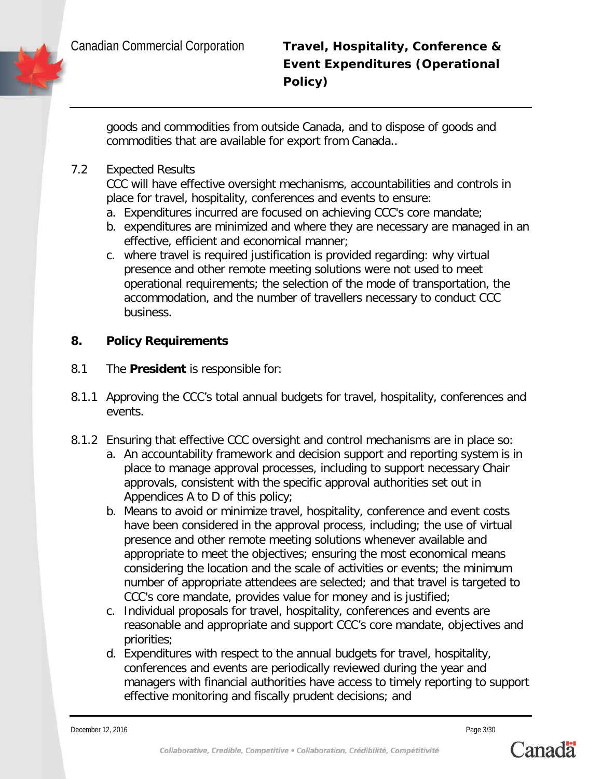

goods and commodities from outside Canada, and to dispose of goods and commodities that are available for export from Canada..

### 7.2 Expected Results

CCC will have effective oversight mechanisms, accountabilities and controls in place for travel, hospitality, conferences and events to ensure:

- a. Expenditures incurred are focused on achieving CCC's core mandate;
- b. expenditures are minimized and where they are necessary are managed in an effective, efficient and economical manner;
- c. where travel is required justification is provided regarding: why virtual presence and other remote meeting solutions were not used to meet operational requirements; the selection of the mode of transportation, the accommodation, and the number of travellers necessary to conduct CCC business.

### **8. Policy Requirements**

- 8.1 The **President** is responsible for:
- 8.1.1 Approving the CCC's total annual budgets for travel, hospitality, conferences and events.
- 8.1.2 Ensuring that effective CCC oversight and control mechanisms are in place so:
	- a. An accountability framework and decision support and reporting system is in place to manage approval processes, including to support necessary Chair approvals, consistent with the specific approval authorities set out in Appendices A to D of this policy;
	- b. Means to avoid or minimize travel, hospitality, conference and event costs have been considered in the approval process, including; the use of virtual presence and other remote meeting solutions whenever available and appropriate to meet the objectives; ensuring the most economical means considering the location and the scale of activities or events; the minimum number of appropriate attendees are selected; and that travel is targeted to CCC's core mandate, provides value for money and is justified;
	- c. Individual proposals for travel, hospitality, conferences and events are reasonable and appropriate and support CCC's core mandate, objectives and priorities;
	- d. Expenditures with respect to the annual budgets for travel, hospitality, conferences and events are periodically reviewed during the year and managers with financial authorities have access to timely reporting to support effective monitoring and fiscally prudent decisions; and

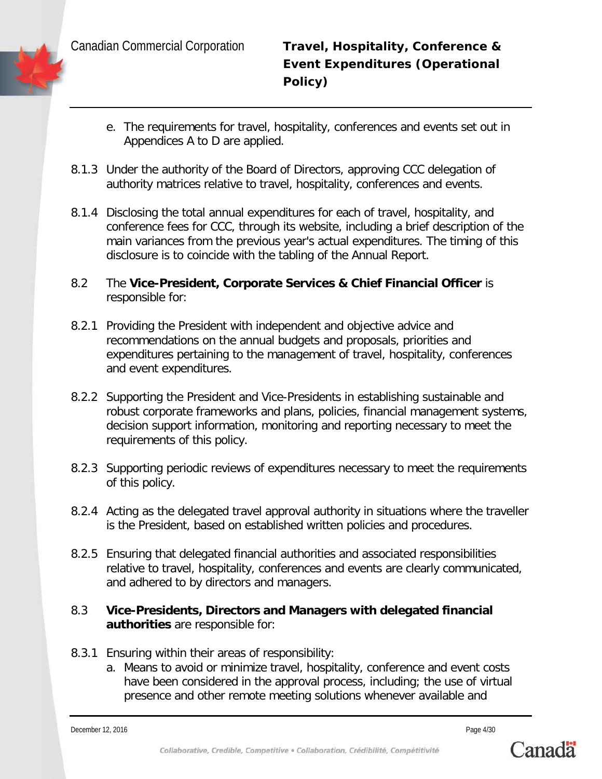

- e. The requirements for travel, hospitality, conferences and events set out in Appendices A to D are applied.
- 8.1.3 Under the authority of the Board of Directors, approving CCC delegation of authority matrices relative to travel, hospitality, conferences and events.
- <span id="page-3-0"></span>8.1.4 Disclosing the total annual expenditures for each of travel, hospitality, and conference fees for CCC, through its website, including a brief description of the main variances from the previous year's actual expenditures. The timing of this disclosure is to coincide with the tabling of the Annual Report.
- 8.2 The **Vice-President, Corporate Services & Chief Financial Officer** is responsible for:
- 8.2.1 Providing the President with independent and objective advice and recommendations on the annual budgets and proposals, priorities and expenditures pertaining to the management of travel, hospitality, conferences and event expenditures.
- 8.2.2 Supporting the President and Vice-Presidents in establishing sustainable and robust corporate frameworks and plans, policies, financial management systems, decision support information, monitoring and reporting necessary to meet the requirements of this policy.
- 8.2.3 Supporting periodic reviews of expenditures necessary to meet the requirements of this policy.
- 8.2.4 Acting as the delegated travel approval authority in situations where the traveller is the President, based on established written policies and procedures.
- 8.2.5 Ensuring that delegated financial authorities and associated responsibilities relative to travel, hospitality, conferences and events are clearly communicated, and adhered to by directors and managers.
- 8.3 **Vice-Presidents, Directors and Managers with delegated financial authorities** are responsible for:
- 8.3.1 Ensuring within their areas of responsibility:
	- a. Means to avoid or minimize travel, hospitality, conference and event costs have been considered in the approval process, including; the use of virtual presence and other remote meeting solutions whenever available and

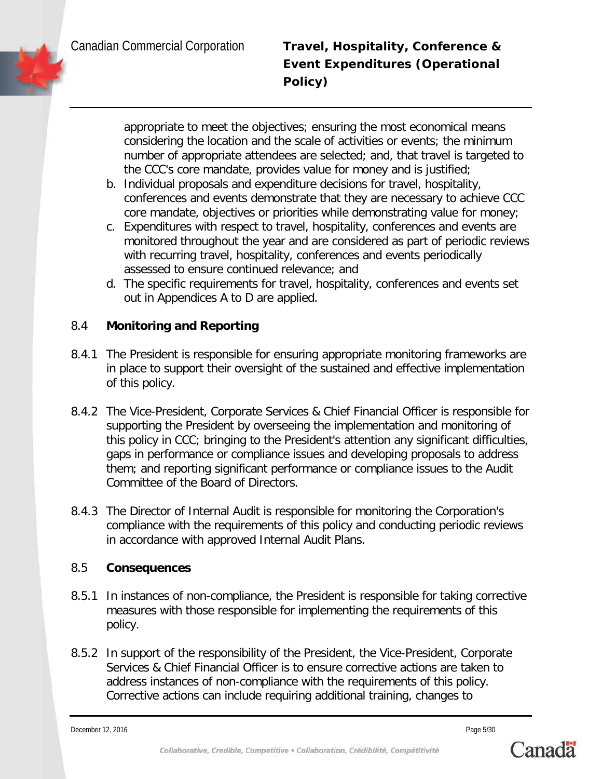

appropriate to meet the objectives; ensuring the most economical means considering the location and the scale of activities or events; the minimum number of appropriate attendees are selected; and, that travel is targeted to the CCC's core mandate, provides value for money and is justified;

- b. Individual proposals and expenditure decisions for travel, hospitality, conferences and events demonstrate that they are necessary to achieve CCC core mandate, objectives or priorities while demonstrating value for money;
- c. Expenditures with respect to travel, hospitality, conferences and events are monitored throughout the year and are considered as part of periodic reviews with recurring travel, hospitality, conferences and events periodically assessed to ensure continued relevance; and
- d. The specific requirements for travel, hospitality, conferences and events set out in Appendices A to D are applied.

### 8.4 **Monitoring and Reporting**

- 8.4.1 The President is responsible for ensuring appropriate monitoring frameworks are in place to support their oversight of the sustained and effective implementation of this policy.
- 8.4.2 The Vice-President, Corporate Services & Chief Financial Officer is responsible for supporting the President by overseeing the implementation and monitoring of this policy in CCC; bringing to the President's attention any significant difficulties, gaps in performance or compliance issues and developing proposals to address them; and reporting significant performance or compliance issues to the Audit Committee of the Board of Directors.
- 8.4.3 The Director of Internal Audit is responsible for monitoring the Corporation's compliance with the requirements of this policy and conducting periodic reviews in accordance with approved Internal Audit Plans.

### 8.5 **Consequences**

- 8.5.1 In instances of non-compliance, the President is responsible for taking corrective measures with those responsible for implementing the requirements of this policy.
- 8.5.2 In support of the responsibility of the President, the Vice-President, Corporate Services & Chief Financial Officer is to ensure corrective actions are taken to address instances of non-compliance with the requirements of this policy. Corrective actions can include requiring additional training, changes to

December 12, 2016 Page 5/30

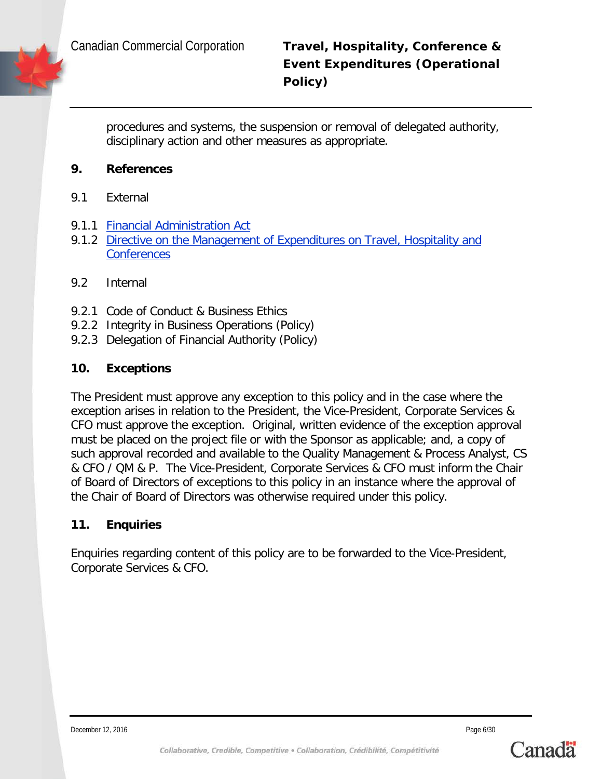

procedures and systems, the suspension or removal of delegated authority, disciplinary action and other measures as appropriate.

### **9. References**

- 9.1 External
- 9.1.1 [Financial Administration Act](http://laws-lois.justice.gc.ca/eng/acts/F-11/)
- 9.1.2 [Directive on the Management of Expenditures on Travel, Hospitality and](http://www.tbs-sct.gc.ca/pol/doc-eng.aspx?id=19855)  **[Conferences](http://www.tbs-sct.gc.ca/pol/doc-eng.aspx?id=19855)**
- 9.2 Internal
- 9.2.1 Code of Conduct & Business Ethics
- 9.2.2 Integrity in Business Operations (Policy)
- 9.2.3 Delegation of Financial Authority (Policy)

### **10. Exceptions**

The President must approve any exception to this policy and in the case where the exception arises in relation to the President, the Vice-President, Corporate Services & CFO must approve the exception. Original, written evidence of the exception approval must be placed on the project file or with the Sponsor as applicable; and, a copy of such approval recorded and available to the Quality Management & Process Analyst, CS & CFO / QM & P. The Vice-President, Corporate Services & CFO must inform the Chair of Board of Directors of exceptions to this policy in an instance where the approval of the Chair of Board of Directors was otherwise required under this policy.

### **11. Enquiries**

Enquiries regarding content of this policy are to be forwarded to the Vice-President, Corporate Services & CFO.

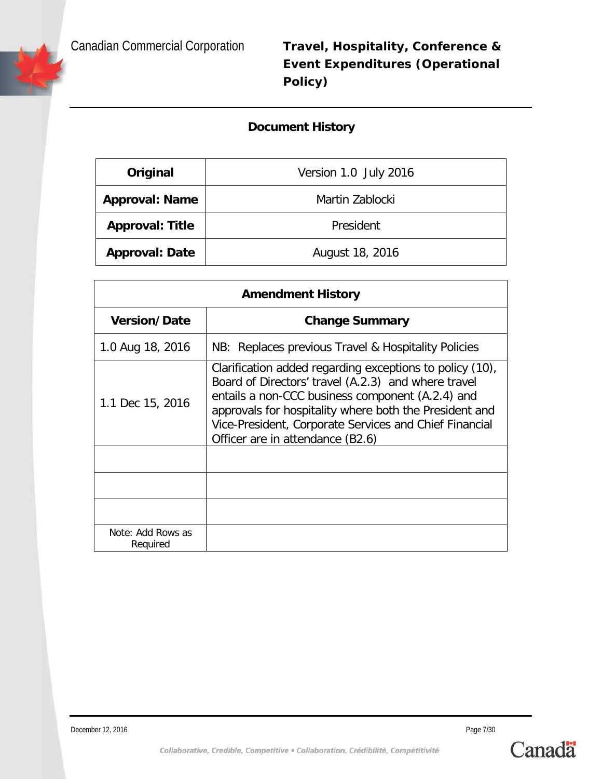

# **Document History**

| Original               | Version 1.0 July 2016 |  |
|------------------------|-----------------------|--|
| <b>Approval: Name</b>  | Martin Zablocki       |  |
| <b>Approval: Title</b> | President             |  |
| <b>Approval: Date</b>  | August 18, 2016       |  |

| <b>Amendment History</b>      |                                                                                                                                                                                                                                                                                                                             |  |
|-------------------------------|-----------------------------------------------------------------------------------------------------------------------------------------------------------------------------------------------------------------------------------------------------------------------------------------------------------------------------|--|
| <b>Version/Date</b>           | <b>Change Summary</b>                                                                                                                                                                                                                                                                                                       |  |
| 1.0 Aug 18, 2016              | NB: Replaces previous Travel & Hospitality Policies                                                                                                                                                                                                                                                                         |  |
| 1.1 Dec 15, 2016              | Clarification added regarding exceptions to policy (10),<br>Board of Directors' travel (A.2.3) and where travel<br>entails a non-CCC business component (A.2.4) and<br>approvals for hospitality where both the President and<br>Vice-President, Corporate Services and Chief Financial<br>Officer are in attendance (B2.6) |  |
|                               |                                                                                                                                                                                                                                                                                                                             |  |
|                               |                                                                                                                                                                                                                                                                                                                             |  |
|                               |                                                                                                                                                                                                                                                                                                                             |  |
| Note: Add Rows as<br>Reguired |                                                                                                                                                                                                                                                                                                                             |  |

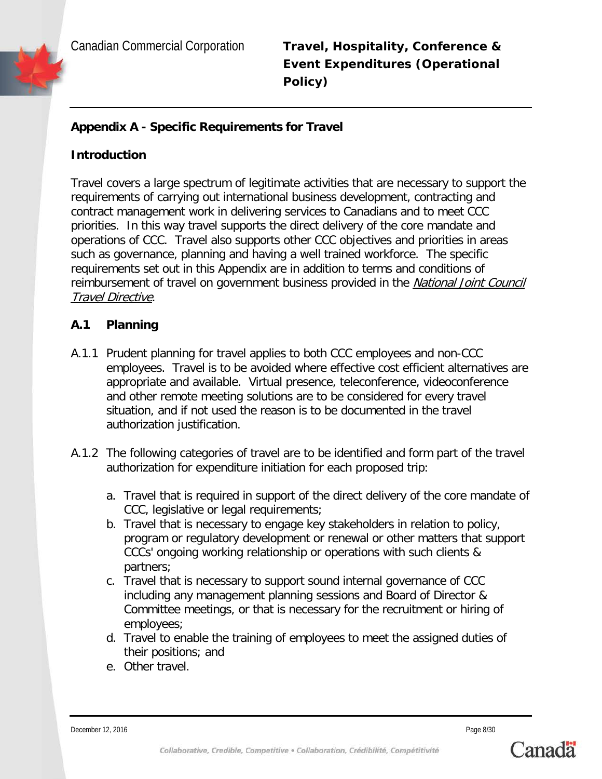## **Appendix A - Specific Requirements for Travel**

## **Introduction**

Travel covers a large spectrum of legitimate activities that are necessary to support the requirements of carrying out international business development, contracting and contract management work in delivering services to Canadians and to meet CCC priorities. In this way travel supports the direct delivery of the core mandate and operations of CCC. Travel also supports other CCC objectives and priorities in areas such as governance, planning and having a well trained workforce. The specific requirements set out in this Appendix are in addition to terms and conditions of reimbursement of travel on government business provided in the National Joint Council [Travel Directive](http://www.tbs-sct.gc.ca/pol/doc-eng.aspx?id=13856).

## **A.1 Planning**

- A.1.1 Prudent planning for travel applies to both CCC employees and non-CCC employees. Travel is to be avoided where effective cost efficient alternatives are appropriate and available. Virtual presence, teleconference, videoconference and other remote meeting solutions are to be considered for every travel situation, and if not used the reason is to be documented in the travel authorization justification.
- A.1.2 The following categories of travel are to be identified and form part of the travel authorization for expenditure initiation for each proposed trip:
	- a. Travel that is required in support of the direct delivery of the core mandate of CCC, legislative or legal requirements;
	- b. Travel that is necessary to engage key stakeholders in relation to policy, program or regulatory development or renewal or other matters that support CCCs' ongoing working relationship or operations with such clients & partners;
	- c. Travel that is necessary to support sound internal governance of CCC including any management planning sessions and Board of Director & Committee meetings, or that is necessary for the recruitment or hiring of employees;
	- d. Travel to enable the training of employees to meet the assigned duties of their positions; and
	- e. Other travel.

December 12, 2016 Page 8/30

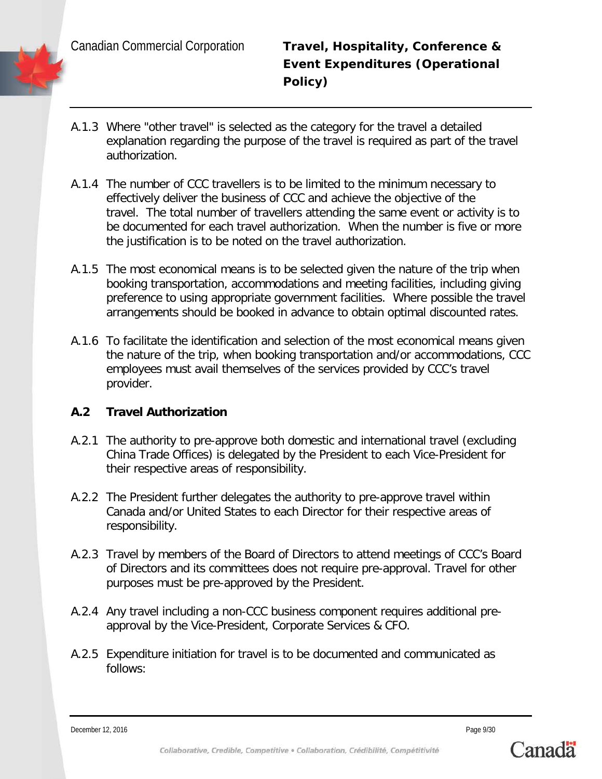

- A.1.3 Where "other travel" is selected as the category for the travel a detailed explanation regarding the purpose of the travel is required as part of the travel authorization.
- A.1.4 The number of CCC travellers is to be limited to the minimum necessary to effectively deliver the business of CCC and achieve the objective of the travel. The total number of travellers attending the same event or activity is to be documented for each travel authorization. When the number is five or more the justification is to be noted on the travel authorization.
- A.1.5 The most economical means is to be selected given the nature of the trip when booking transportation, accommodations and meeting facilities, including giving preference to using appropriate government facilities. Where possible the travel arrangements should be booked in advance to obtain optimal discounted rates.
- A.1.6 To facilitate the identification and selection of the most economical means given the nature of the trip, when booking transportation and/or accommodations, CCC employees must avail themselves of the services provided by CCC's travel provider.

## **A.2 Travel Authorization**

- A.2.1 The authority to pre-approve both domestic and international travel (excluding China Trade Offices) is delegated by the President to each Vice-President for their respective areas of responsibility.
- A.2.2 The President further delegates the authority to pre-approve travel within Canada and/or United States to each Director for their respective areas of responsibility.
- A.2.3 Travel by members of the Board of Directors to attend meetings of CCC's Board of Directors and its committees does not require pre-approval. Travel for other purposes must be pre-approved by the President.
- A.2.4 Any travel including a non-CCC business component requires additional preapproval by the Vice-President, Corporate Services & CFO.
- A.2.5 Expenditure initiation for travel is to be documented and communicated as follows:

December 12, 2016 Page 9/30

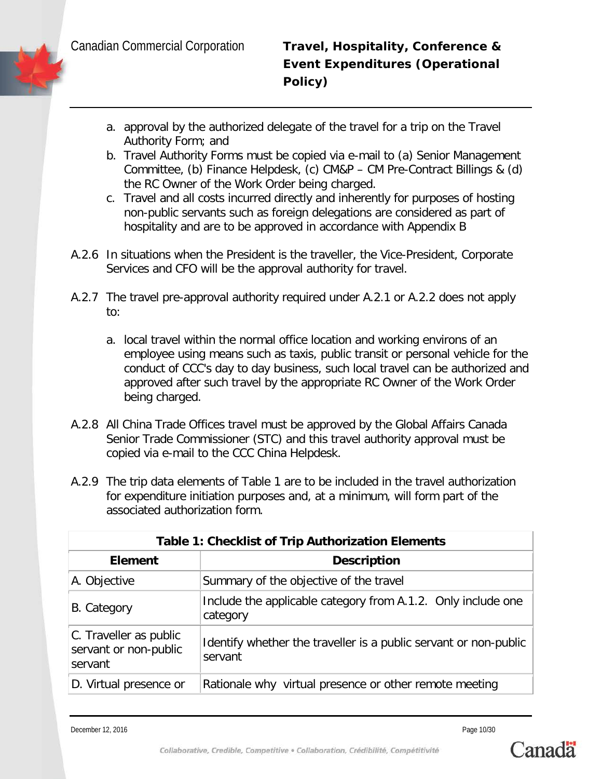- a. approval by the authorized delegate of the travel for a trip on the Travel Authority Form; and
- b. Travel Authority Forms must be copied via e-mail to (a) Senior Management Committee, (b) Finance Helpdesk, (c) CM&P – CM Pre-Contract Billings & (d) the RC Owner of the Work Order being charged.
- c. Travel and all costs incurred directly and inherently for purposes of hosting non-public servants such as foreign delegations are considered as part of hospitality and are to be approved in accordance with Appendix B
- A.2.6 In situations when the President is the traveller, the Vice-President, Corporate Services and CFO will be the approval authority for travel.
- A.2.7 The travel pre-approval authority required under A.2.1 or A.2.2 does not apply to:
	- a. local travel within the normal office location and working environs of an employee using means such as taxis, public transit or personal vehicle for the conduct of CCC's day to day business, such local travel can be authorized and approved after such travel by the appropriate RC Owner of the Work Order being charged.
- A.2.8 All China Trade Offices travel must be approved by the Global Affairs Canada Senior Trade Commissioner (STC) and this travel authority approval must be copied via e-mail to the CCC China Helpdesk.
- A.2.9 The trip data elements of Table 1 are to be included in the travel authorization for expenditure initiation purposes and, at a minimum, will form part of the associated authorization form.

| <b>Table 1: Checklist of Trip Authorization Elements</b>   |                                                                             |  |
|------------------------------------------------------------|-----------------------------------------------------------------------------|--|
| <b>Element</b>                                             | <b>Description</b>                                                          |  |
| A. Objective                                               | Summary of the objective of the travel                                      |  |
| B. Category                                                | Include the applicable category from A.1.2. Only include one<br>category    |  |
| C. Traveller as public<br>servant or non-public<br>servant | Identify whether the traveller is a public servant or non-public<br>servant |  |
| D. Virtual presence or                                     | Rationale why virtual presence or other remote meeting                      |  |

December 12, 2016 Page 10/30

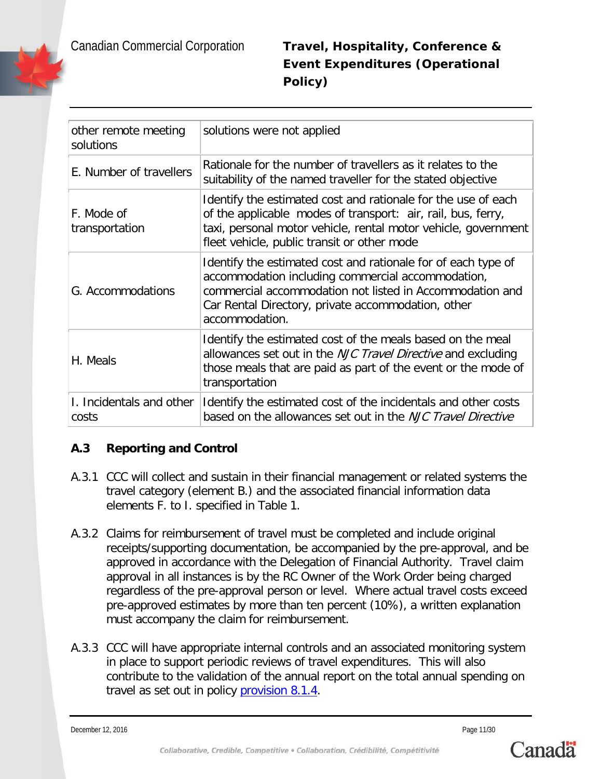| other remote meeting<br>solutions | solutions were not applied                                                                                                                                                                                                                             |
|-----------------------------------|--------------------------------------------------------------------------------------------------------------------------------------------------------------------------------------------------------------------------------------------------------|
| E. Number of travellers           | Rationale for the number of travellers as it relates to the<br>suitability of the named traveller for the stated objective                                                                                                                             |
| F. Mode of<br>transportation      | Identify the estimated cost and rationale for the use of each<br>of the applicable modes of transport: air, rail, bus, ferry,<br>taxi, personal motor vehicle, rental motor vehicle, government<br>fleet vehicle, public transit or other mode         |
| G. Accommodations                 | Identify the estimated cost and rationale for of each type of<br>accommodation including commercial accommodation,<br>commercial accommodation not listed in Accommodation and<br>Car Rental Directory, private accommodation, other<br>accommodation. |
| H. Meals                          | Identify the estimated cost of the meals based on the meal<br>allowances set out in the <i>NJC Travel Directive</i> and excluding<br>those meals that are paid as part of the event or the mode of<br>transportation                                   |
| I. Incidentals and other<br>costs | Identify the estimated cost of the incidentals and other costs<br>based on the allowances set out in the <i>NJC Travel Directive</i>                                                                                                                   |

## **A.3 Reporting and Control**

- A.3.1 CCC will collect and sustain in their financial management or related systems the travel category (element B.) and the associated financial information data elements F. to I. specified in Table 1.
- A.3.2 Claims for reimbursement of travel must be completed and include original receipts/supporting documentation, be accompanied by the pre-approval, and be approved in accordance with the Delegation of Financial Authority. Travel claim approval in all instances is by the RC Owner of the Work Order being charged regardless of the pre-approval person or level. Where actual travel costs exceed pre-approved estimates by more than ten percent (10%), a written explanation must accompany the claim for reimbursement.
- A.3.3 CCC will have appropriate internal controls and an associated monitoring system in place to support periodic reviews of travel expenditures. This will also contribute to the validation of the annual report on the total annual spending on travel as set out in policy [provision 8.1.4.](#page-3-0)

December 12, 2016 Page 11/30

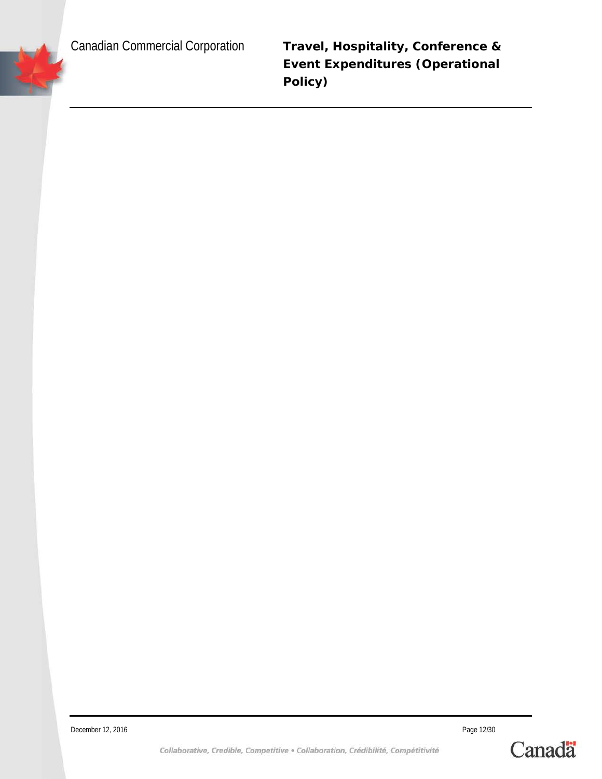Canadian Commercial Corporation **Travel, Hospitality, Conference & Event Expenditures (Operational Policy)**

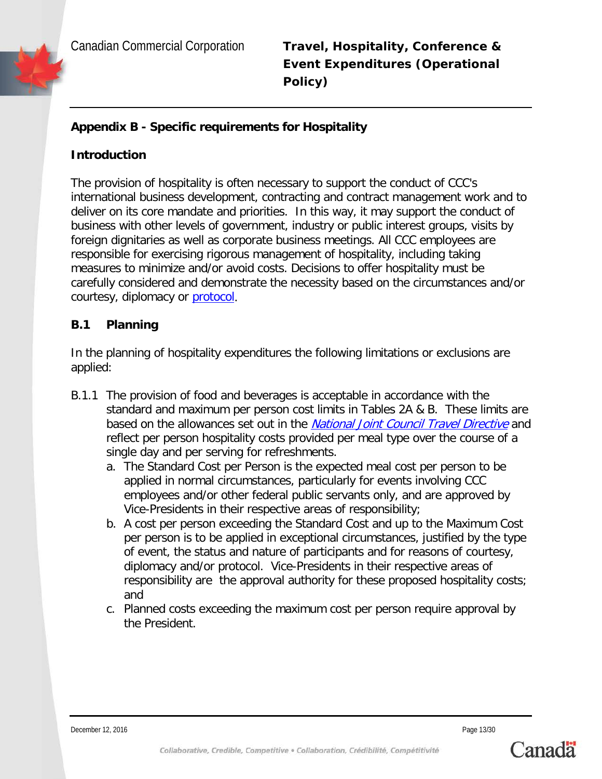## **Appendix B - Specific requirements for Hospitality**

### **Introduction**

The provision of hospitality is often necessary to support the conduct of CCC's international business development, contracting and contract management work and to deliver on its core mandate and priorities. In this way, it may support the conduct of business with other levels of government, industry or public interest groups, visits by foreign dignitaries as well as corporate business meetings. All CCC employees are responsible for exercising rigorous management of hospitality, including taking measures to minimize and/or avoid costs. Decisions to offer hospitality must be carefully considered and demonstrate the necessity based on the circumstances and/or courtesy, diplomacy or **protocol**.

## **B.1 Planning**

In the planning of hospitality expenditures the following limitations or exclusions are applied:

- B.1.1 The provision of food and beverages is acceptable in accordance with the standard and maximum per person cost limits in Tables 2A & B. These limits are based on the allowances set out in the *[National Joint Council Travel Directive](http://www.tbs-sct.gc.ca/pol/doc-eng.aspx?id=13856)* and reflect per person hospitality costs provided per meal type over the course of a single day and per serving for refreshments.
	- a. The Standard Cost per Person is the expected meal cost per person to be applied in normal circumstances, particularly for events involving CCC employees and/or other federal public servants only, and are approved by Vice-Presidents in their respective areas of responsibility;
	- b. A cost per person exceeding the Standard Cost and up to the Maximum Cost per person is to be applied in exceptional circumstances, justified by the type of event, the status and nature of participants and for reasons of courtesy, diplomacy and/or protocol. Vice-Presidents in their respective areas of responsibility are the approval authority for these proposed hospitality costs; and
	- c. Planned costs exceeding the maximum cost per person require approval by the President.

December 12, 2016 Page 13/30

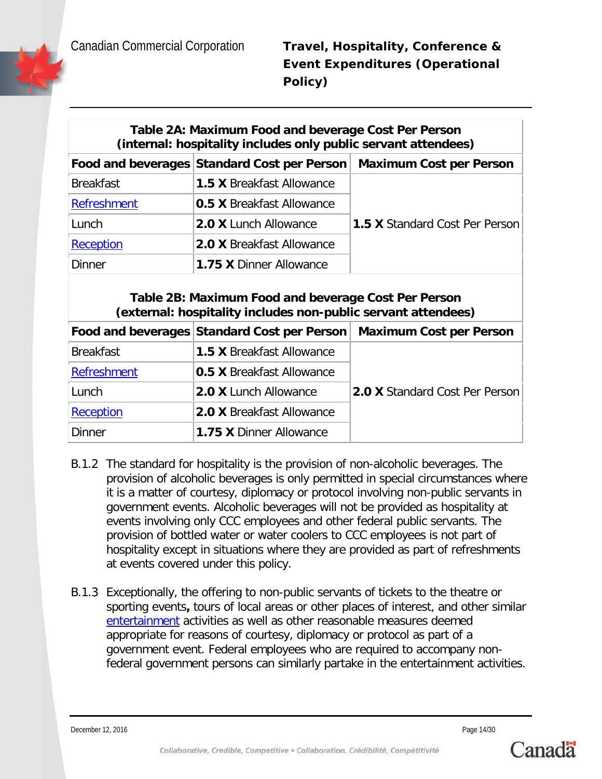# **Table 2A: Maximum Food and beverage Cost Per Person (internal: hospitality includes only public servant attendees)**

|                  |                                  | Food and beverages Standard Cost per Person   Maximum Cost per Person |
|------------------|----------------------------------|-----------------------------------------------------------------------|
| Breakfast        | <b>1.5 X Breakfast Allowance</b> |                                                                       |
| Refreshment      | <b>0.5 X Breakfast Allowance</b> |                                                                       |
| Lunch            | 2.0 X Lunch Allowance            | 1.5 X Standard Cost Per Person                                        |
| <b>Reception</b> | 2.0 X Breakfast Allowance        |                                                                       |
| Dinner           | 1.75 X Dinner Allowance          |                                                                       |

## **Table 2B: Maximum Food and beverage Cost Per Person (external: hospitality includes non-public servant attendees)**

|                    | Food and beverages Standard Cost per Person | <b>Maximum Cost per Person</b>        |
|--------------------|---------------------------------------------|---------------------------------------|
| Breakfast          | 1.5 X Breakfast Allowance                   |                                       |
| <b>Refreshment</b> | 0.5 X Breakfast Allowance                   |                                       |
| Lunch              | <b>2.0 X Lunch Allowance</b>                | <b>2.0 X Standard Cost Per Person</b> |
| <b>Reception</b>   | 2.0 X Breakfast Allowance                   |                                       |
| Dinner             | 1.75 X Dinner Allowance                     |                                       |

- B.1.2 The standard for hospitality is the provision of non-alcoholic beverages. The provision of alcoholic beverages is only permitted in special circumstances where it is a matter of courtesy, diplomacy or protocol involving non-public servants in government events. Alcoholic beverages will not be provided as hospitality at events involving only CCC employees and other federal public servants. The provision of bottled water or water coolers to CCC employees is not part of hospitality except in situations where they are provided as part of refreshments at events covered under this policy.
- B.1.3 Exceptionally, the offering to non-public servants of tickets to the theatre or sporting events**,** tours of local areas or other places of interest, and other similar [entertainment](#page-28-0) activities as well as other reasonable measures deemed appropriate for reasons of courtesy, diplomacy or protocol as part of a government event. Federal employees who are required to accompany nonfederal government persons can similarly partake in the entertainment activities.

December 12, 2016 Page 14/30

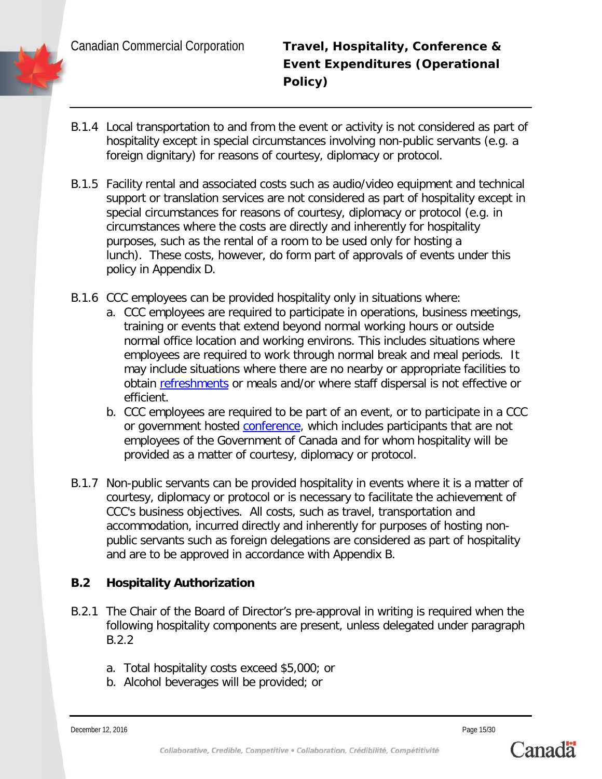

- B.1.4 Local transportation to and from the event or activity is not considered as part of hospitality except in special circumstances involving non-public servants (e.g. a foreign dignitary) for reasons of courtesy, diplomacy or protocol.
- B.1.5 Facility rental and associated costs such as audio/video equipment and technical support or translation services are not considered as part of hospitality except in special circumstances for reasons of courtesy, diplomacy or protocol (e.g. in circumstances where the costs are directly and inherently for hospitality purposes, such as the rental of a room to be used only for hosting a lunch). These costs, however, do form part of approvals of events under this policy in Appendix D.
- B.1.6 CCC employees can be provided hospitality only in situations where:
	- a. CCC employees are required to participate in operations, business meetings, training or events that extend beyond normal working hours or outside normal office location and working environs. This includes situations where employees are required to work through normal break and meal periods. It may include situations where there are no nearby or appropriate facilities to obtain [refreshments](#page-29-1) or meals and/or where staff dispersal is not effective or efficient.
	- b. CCC employees are required to be part of an event, or to participate in a CCC or government hosted [conference,](#page-28-1) which includes participants that are not employees of the Government of Canada and for whom hospitality will be provided as a matter of courtesy, diplomacy or protocol.
- B.1.7 Non-public servants can be provided hospitality in events where it is a matter of courtesy, diplomacy or protocol or is necessary to facilitate the achievement of CCC's business objectives. All costs, such as travel, transportation and accommodation, incurred directly and inherently for purposes of hosting nonpublic servants such as foreign delegations are considered as part of hospitality and are to be approved in accordance with Appendix B.

### **B.2 Hospitality Authorization**

- B.2.1 The Chair of the Board of Director's pre-approval in writing is required when the following hospitality components are present, unless delegated under paragraph B.2.2
	- a. Total hospitality costs exceed \$5,000; or
	- b. Alcohol beverages will be provided; or

December 12, 2016 Page 15/30

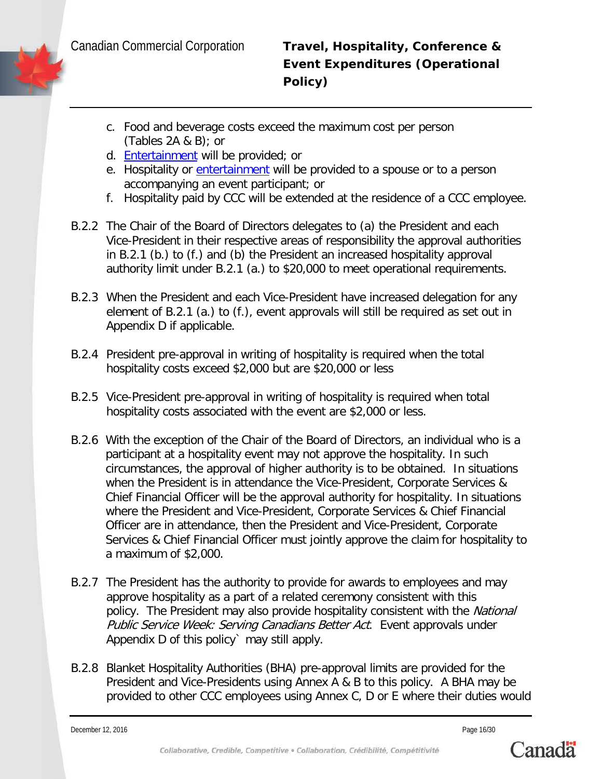- c. Food and beverage costs exceed the maximum cost per person (Tables 2A & B); or
- d. [Entertainment](#page-28-0) will be provided; or
- e. Hospitality or [entertainment](#page-28-0) will be provided to a spouse or to a person accompanying an event participant; or
- f. Hospitality paid by CCC will be extended at the residence of a CCC employee.
- B.2.2 The Chair of the Board of Directors delegates to (a) the President and each Vice-President in their respective areas of responsibility the approval authorities in B.2.1 (b.) to (f.) and (b) the President an increased hospitality approval authority limit under B.2.1 (a.) to \$20,000 to meet operational requirements.
- B.2.3 When the President and each Vice-President have increased delegation for any element of B.2.1 (a.) to (f.), event approvals will still be required as set out in Appendix D if applicable.
- B.2.4 President pre-approval in writing of hospitality is required when the total hospitality costs exceed \$2,000 but are \$20,000 or less
- B.2.5 Vice-President pre-approval in writing of hospitality is required when total hospitality costs associated with the event are \$2,000 or less.
- B.2.6 With the exception of the Chair of the Board of Directors, an individual who is a participant at a hospitality event may not approve the hospitality. In such circumstances, the approval of higher authority is to be obtained. In situations when the President is in attendance the Vice-President, Corporate Services & Chief Financial Officer will be the approval authority for hospitality. In situations where the President and Vice-President, Corporate Services & Chief Financial Officer are in attendance, then the President and Vice-President, Corporate Services & Chief Financial Officer must jointly approve the claim for hospitality to a maximum of \$2,000.
- B.2.7 The President has the authority to provide for awards to employees and may approve hospitality as a part of a related ceremony consistent with this policy. The President may also provide hospitality consistent with the National Public Service Week: Serving Canadians Better Act. Event approvals under Appendix D of this policy` may still apply.
- B.2.8 Blanket Hospitality Authorities (BHA) pre-approval limits are provided for the President and Vice-Presidents using Annex A & B to this policy. A BHA may be provided to other CCC employees using Annex C, D or E where their duties would

December 12, 2016 Page 16/30

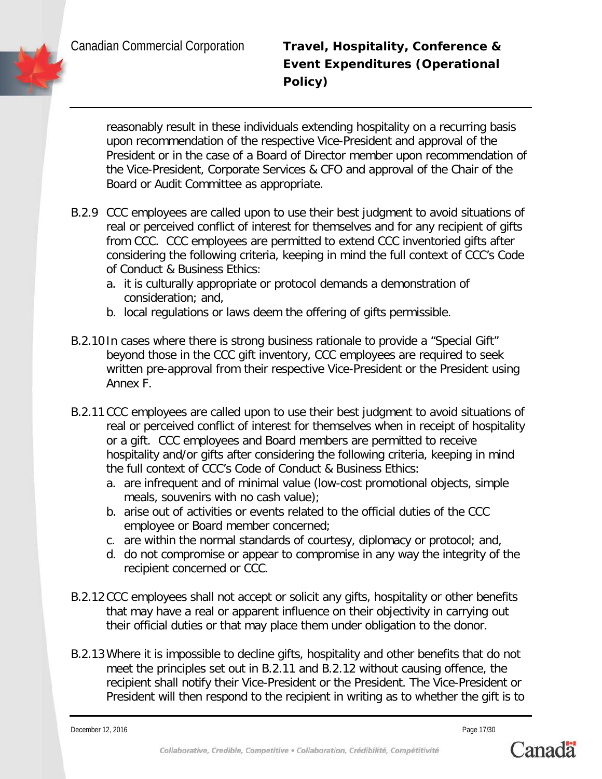

reasonably result in these individuals extending hospitality on a recurring basis upon recommendation of the respective Vice-President and approval of the President or in the case of a Board of Director member upon recommendation of the Vice-President, Corporate Services & CFO and approval of the Chair of the Board or Audit Committee as appropriate.

- B.2.9 CCC employees are called upon to use their best judgment to avoid situations of real or perceived conflict of interest for themselves and for any recipient of gifts from CCC. CCC employees are permitted to extend CCC inventoried gifts after considering the following criteria, keeping in mind the full context of CCC's Code of Conduct & Business Ethics:
	- a. it is culturally appropriate or protocol demands a demonstration of consideration; and,
	- b. local regulations or laws deem the offering of gifts permissible.
- B.2.10 In cases where there is strong business rationale to provide a "Special Gift" beyond those in the CCC gift inventory, CCC employees are required to seek written pre-approval from their respective Vice-President or the President using Annex F.
- B.2.11 CCC employees are called upon to use their best judgment to avoid situations of real or perceived conflict of interest for themselves when in receipt of hospitality or a gift. CCC employees and Board members are permitted to receive hospitality and/or gifts after considering the following criteria, keeping in mind the full context of CCC's Code of Conduct & Business Ethics:
	- a. are infrequent and of minimal value (low-cost promotional objects, simple meals, souvenirs with no cash value);
	- b. arise out of activities or events related to the official duties of the CCC employee or Board member concerned;
	- c. are within the normal standards of courtesy, diplomacy or protocol; and,
	- d. do not compromise or appear to compromise in any way the integrity of the recipient concerned or CCC.
- B.2.12 CCC employees shall not accept or solicit any gifts, hospitality or other benefits that may have a real or apparent influence on their objectivity in carrying out their official duties or that may place them under obligation to the donor.
- B.2.13 Where it is impossible to decline gifts, hospitality and other benefits that do not meet the principles set out in B.2.11 and B.2.12 without causing offence, the recipient shall notify their Vice-President or the President. The Vice-President or President will then respond to the recipient in writing as to whether the gift is to

December 12, 2016 Page 17/30

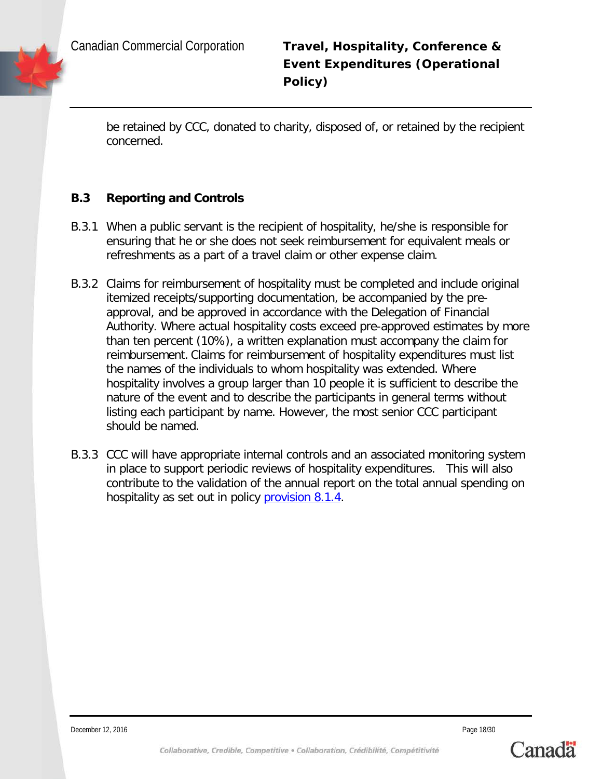

Canadian Commercial Corporation **Travel, Hospitality, Conference & Event Expenditures (Operational Policy)**

be retained by CCC, donated to charity, disposed of, or retained by the recipient concerned.

## **B.3 Reporting and Controls**

- B.3.1 When a public servant is the recipient of hospitality, he/she is responsible for ensuring that he or she does not seek reimbursement for equivalent meals or refreshments as a part of a travel claim or other expense claim.
- B.3.2 Claims for reimbursement of hospitality must be completed and include original itemized receipts/supporting documentation, be accompanied by the preapproval, and be approved in accordance with the Delegation of Financial Authority. Where actual hospitality costs exceed pre-approved estimates by more than ten percent (10%), a written explanation must accompany the claim for reimbursement. Claims for reimbursement of hospitality expenditures must list the names of the individuals to whom hospitality was extended. Where hospitality involves a group larger than 10 people it is sufficient to describe the nature of the event and to describe the participants in general terms without listing each participant by name. However, the most senior CCC participant should be named.
- B.3.3 CCC will have appropriate internal controls and an associated monitoring system in place to support periodic reviews of hospitality expenditures. This will also contribute to the validation of the annual report on the total annual spending on hospitality as set out in policy **provision 8.1.4.**

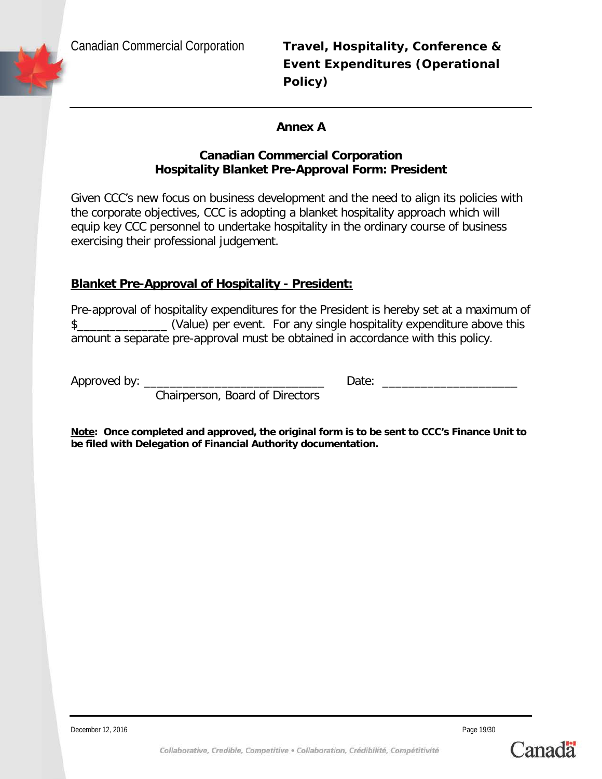

### **Annex A**

### **Canadian Commercial Corporation Hospitality Blanket Pre-Approval Form: President**

Given CCC's new focus on business development and the need to align its policies with the corporate objectives, CCC is adopting a blanket hospitality approach which will equip key CCC personnel to undertake hospitality in the ordinary course of business exercising their professional judgement.

### **Blanket Pre-Approval of Hospitality - President:**

Pre-approval of hospitality expenditures for the President is hereby set at a maximum of \$\_\_\_\_\_\_\_\_\_\_\_\_\_\_\_\_\_\_\_\_\_\_\_\_\_(Value) per event. For any single hospitality expenditure above this amount a separate pre-approval must be obtained in accordance with this policy.

Approved by: \_\_\_\_\_\_\_\_\_\_\_\_\_\_\_\_\_\_\_\_\_\_\_\_\_\_\_\_ Date: \_\_\_\_\_\_\_\_\_\_\_\_\_\_\_\_\_\_\_\_\_

Chairperson, Board of Directors

**Note: Once completed and approved, the original form is to be sent to CCC's Finance Unit to be filed with Delegation of Financial Authority documentation.**

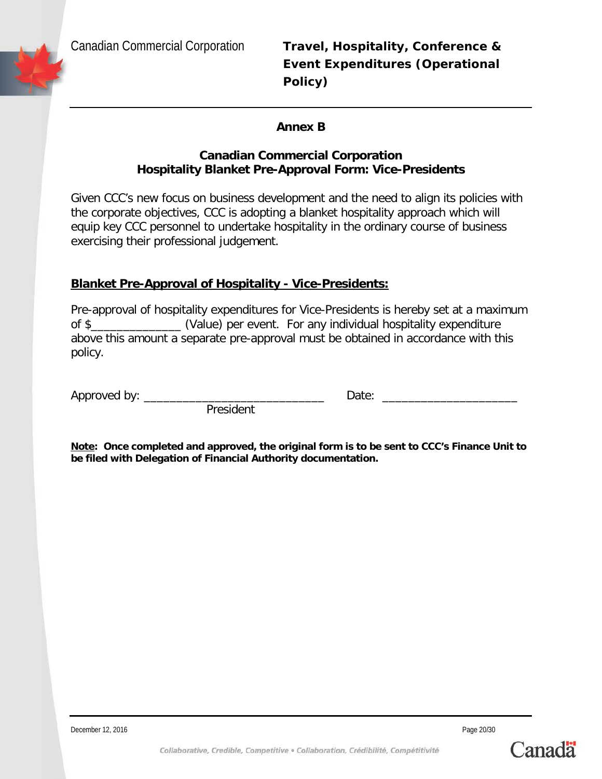

Canadian Commercial Corporation **Travel, Hospitality, Conference & Event Expenditures (Operational Policy)**

## **Annex B**

### **Canadian Commercial Corporation Hospitality Blanket Pre-Approval Form: Vice-Presidents**

Given CCC's new focus on business development and the need to align its policies with the corporate objectives, CCC is adopting a blanket hospitality approach which will equip key CCC personnel to undertake hospitality in the ordinary course of business exercising their professional judgement.

## **Blanket Pre-Approval of Hospitality - Vice-Presidents:**

Pre-approval of hospitality expenditures for Vice-Presidents is hereby set at a maximum of \$\_\_\_\_\_\_\_\_\_\_\_\_\_\_ (Value) per event. For any individual hospitality expenditure above this amount a separate pre-approval must be obtained in accordance with this policy.

Approved by: \_\_\_\_\_\_\_\_\_\_\_\_\_\_\_\_\_\_\_\_\_\_\_\_\_\_\_\_ Date: \_\_\_\_\_\_\_\_\_\_\_\_\_\_\_\_\_\_\_\_\_

President

**Note: Once completed and approved, the original form is to be sent to CCC's Finance Unit to be filed with Delegation of Financial Authority documentation.**

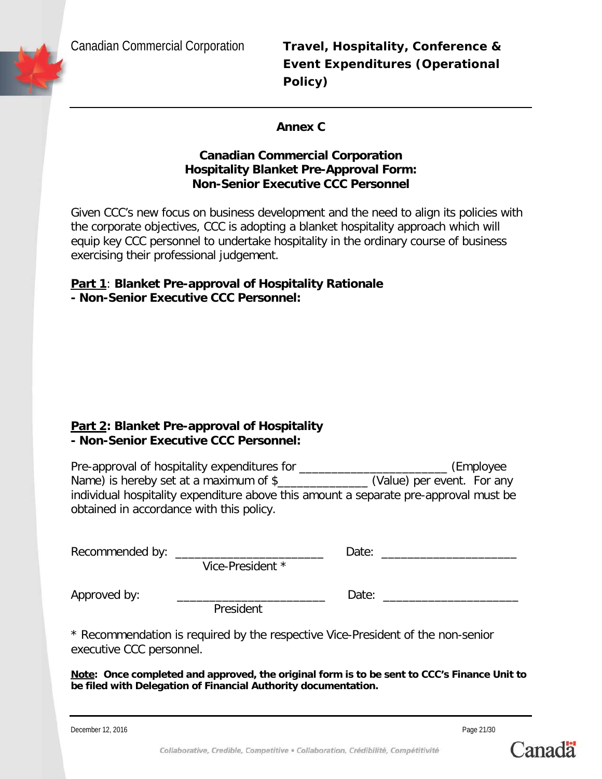

#### **Annex C**

### **Canadian Commercial Corporation Hospitality Blanket Pre-Approval Form: Non-Senior Executive CCC Personnel**

Given CCC's new focus on business development and the need to align its policies with the corporate objectives, CCC is adopting a blanket hospitality approach which will equip key CCC personnel to undertake hospitality in the ordinary course of business exercising their professional judgement.

#### **Part 1**: **Blanket Pre-approval of Hospitality Rationale - Non-Senior Executive CCC Personnel:**

### **Part 2: Blanket Pre-approval of Hospitality - Non-Senior Executive CCC Personnel:**

| Pre-approval of hospitality expenditures for                                         | (Employee)                 |
|--------------------------------------------------------------------------------------|----------------------------|
| Name) is hereby set at a maximum of \$                                               | (Value) per event. For any |
| individual hospitality expenditure above this amount a separate pre-approval must be |                            |
| obtained in accordance with this policy.                                             |                            |

| Recommended by: |                  | Date: |  |
|-----------------|------------------|-------|--|
|                 | Vice-President * |       |  |
| Approved by:    |                  | Date: |  |
|                 | President        |       |  |

\* Recommendation is required by the respective Vice-President of the non-senior executive CCC personnel.

**Note: Once completed and approved, the original form is to be sent to CCC's Finance Unit to be filed with Delegation of Financial Authority documentation.**

December 12, 2016 Page 21/30

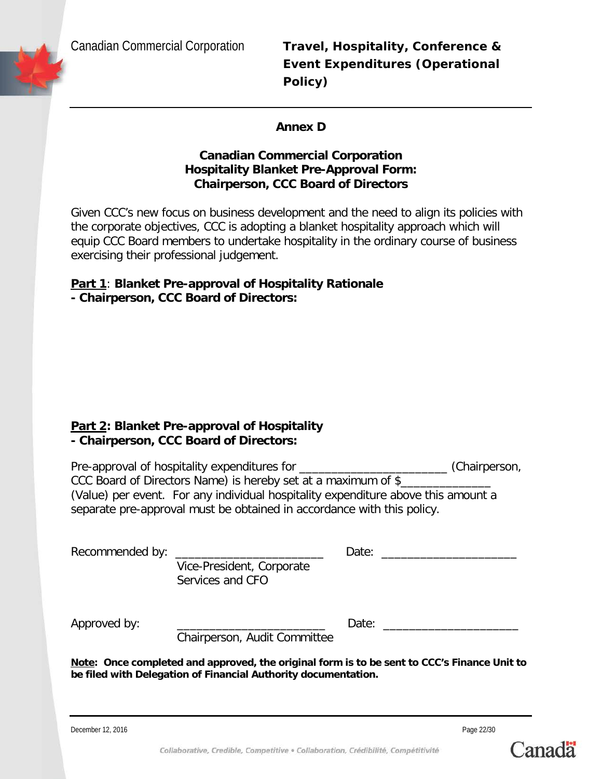

#### **Annex D**

### **Canadian Commercial Corporation Hospitality Blanket Pre-Approval Form: Chairperson, CCC Board of Directors**

Given CCC's new focus on business development and the need to align its policies with the corporate objectives, CCC is adopting a blanket hospitality approach which will equip CCC Board members to undertake hospitality in the ordinary course of business exercising their professional judgement.

#### **Part 1**: **Blanket Pre-approval of Hospitality Rationale - Chairperson, CCC Board of Directors:**

### **Part 2: Blanket Pre-approval of Hospitality - Chairperson, CCC Board of Directors:**

Pre-approval of hospitality expenditures for **Example 2018** (Chairperson, CCC Board of Directors Name) is hereby set at a maximum of \$ (Value) per event. For any individual hospitality expenditure above this amount a separate pre-approval must be obtained in accordance with this policy.

|              | Recommended by: __________________            | Date: |  |
|--------------|-----------------------------------------------|-------|--|
|              | Vice-President, Corporate<br>Services and CFO |       |  |
| Approved by: |                                               | Date: |  |

Chairperson, Audit Committee

**Note: Once completed and approved, the original form is to be sent to CCC's Finance Unit to be filed with Delegation of Financial Authority documentation.**

December 12, 2016 Page 22/30

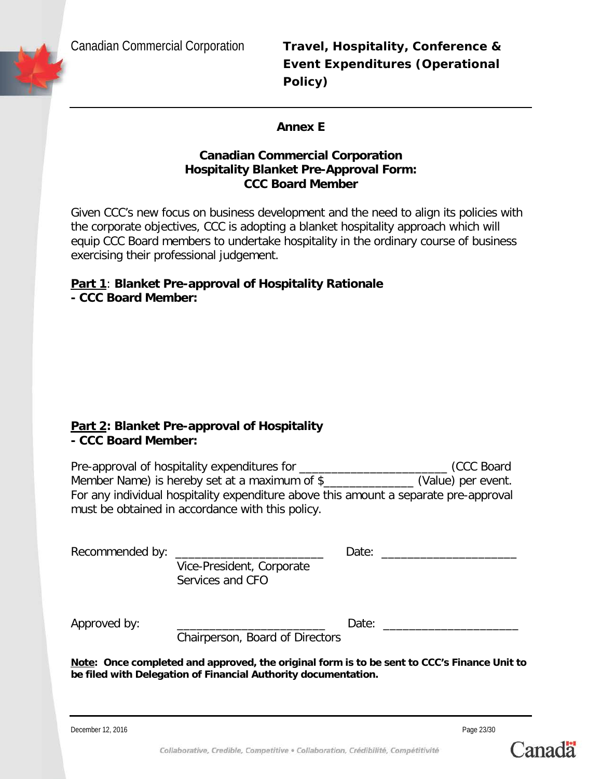

### **Annex E**

### **Canadian Commercial Corporation Hospitality Blanket Pre-Approval Form: CCC Board Member**

Given CCC's new focus on business development and the need to align its policies with the corporate objectives, CCC is adopting a blanket hospitality approach which will equip CCC Board members to undertake hospitality in the ordinary course of business exercising their professional judgement.

# **Part 1**: **Blanket Pre-approval of Hospitality Rationale**

**- CCC Board Member:**

### **Part 2: Blanket Pre-approval of Hospitality - CCC Board Member:**

Pre-approval of hospitality expenditures for \_\_\_\_\_\_\_\_\_\_\_\_\_\_\_\_\_\_\_\_\_\_\_\_\_\_\_(CCC Board Member Name) is hereby set at a maximum of \$\_\_\_\_\_\_\_\_\_\_\_\_\_\_\_ (Value) per event. For any individual hospitality expenditure above this amount a separate pre-approval must be obtained in accordance with this policy.

|              |                                 | Date: |
|--------------|---------------------------------|-------|
|              | Vice-President, Corporate       |       |
|              | Services and CFO                |       |
|              |                                 |       |
| Approved by: |                                 | Date: |
|              | Chairperson, Board of Directors |       |

**Note: Once completed and approved, the original form is to be sent to CCC's Finance Unit to be filed with Delegation of Financial Authority documentation.**

December 12, 2016 Page 23/30

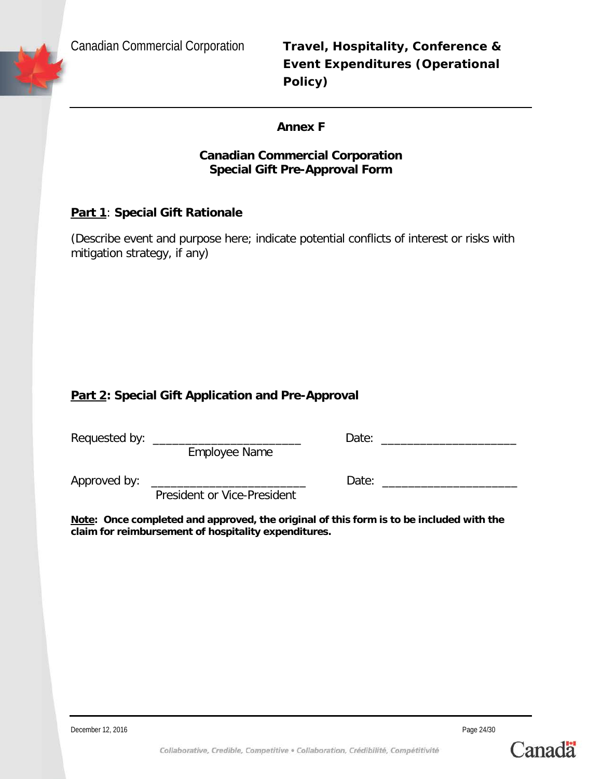Canadian Commercial Corporation **Travel, Hospitality, Conference &** 



**Event Expenditures (Operational Policy)**

### **Annex F**

### **Canadian Commercial Corporation Special Gift Pre-Approval Form**

### **Part 1**: **Special Gift Rationale**

(Describe event and purpose here; indicate potential conflicts of interest or risks with mitigation strategy, if any)

### **Part 2: Special Gift Application and Pre-Approval**

Employee Name

Requested by: \_\_\_\_\_\_\_\_\_\_\_\_\_\_\_\_\_\_\_\_\_\_\_ Date: \_\_\_\_\_\_\_\_\_\_\_\_\_\_\_\_\_\_\_\_\_

President or Vice-President

Approved by: \_\_\_\_\_\_\_\_\_\_\_\_\_\_\_\_\_\_\_\_\_\_\_\_ Date: \_\_\_\_\_\_\_\_\_\_\_\_\_\_\_\_\_\_\_\_\_

**Note: Once completed and approved, the original of this form is to be included with the claim for reimbursement of hospitality expenditures.**

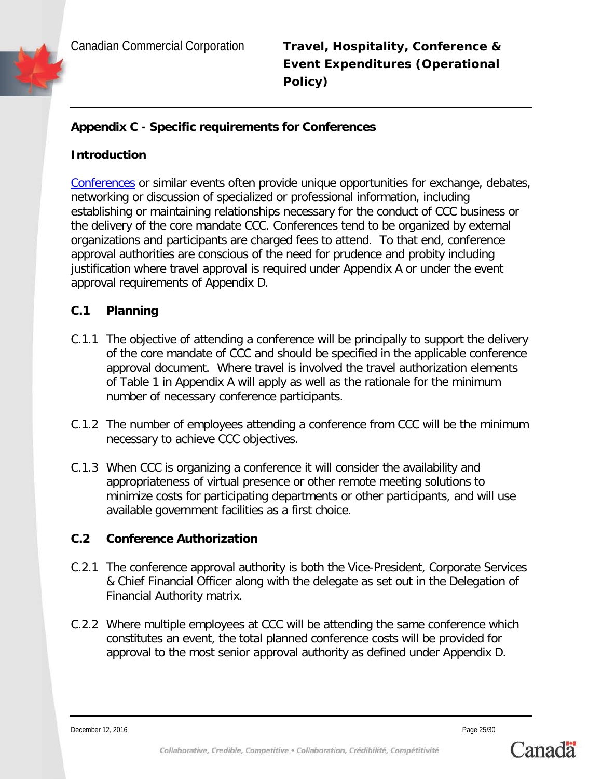## **Appendix C - Specific requirements for Conferences**

## **Introduction**

[Conferences](#page-28-1) or similar events often provide unique opportunities for exchange, debates, networking or discussion of specialized or professional information, including establishing or maintaining relationships necessary for the conduct of CCC business or the delivery of the core mandate CCC. Conferences tend to be organized by external organizations and participants are charged fees to attend. To that end, conference approval authorities are conscious of the need for prudence and probity including justification where travel approval is required under Appendix A or under the event approval requirements of Appendix D.

## **C.1 Planning**

- C.1.1 The objective of attending a conference will be principally to support the delivery of the core mandate of CCC and should be specified in the applicable conference approval document. Where travel is involved the travel authorization elements of Table 1 in Appendix A will apply as well as the rationale for the minimum number of necessary conference participants.
- C.1.2 The number of employees attending a conference from CCC will be the minimum necessary to achieve CCC objectives.
- C.1.3 When CCC is organizing a conference it will consider the availability and appropriateness of virtual presence or other remote meeting solutions to minimize costs for participating departments or other participants, and will use available government facilities as a first choice.

### **C.2 Conference Authorization**

- C.2.1 The conference approval authority is both the Vice-President, Corporate Services & Chief Financial Officer along with the delegate as set out in the Delegation of Financial Authority matrix.
- C.2.2 Where multiple employees at CCC will be attending the same conference which constitutes an event, the total planned conference costs will be provided for approval to the most senior approval authority as defined under Appendix D.

December 12, 2016 Page 25/30

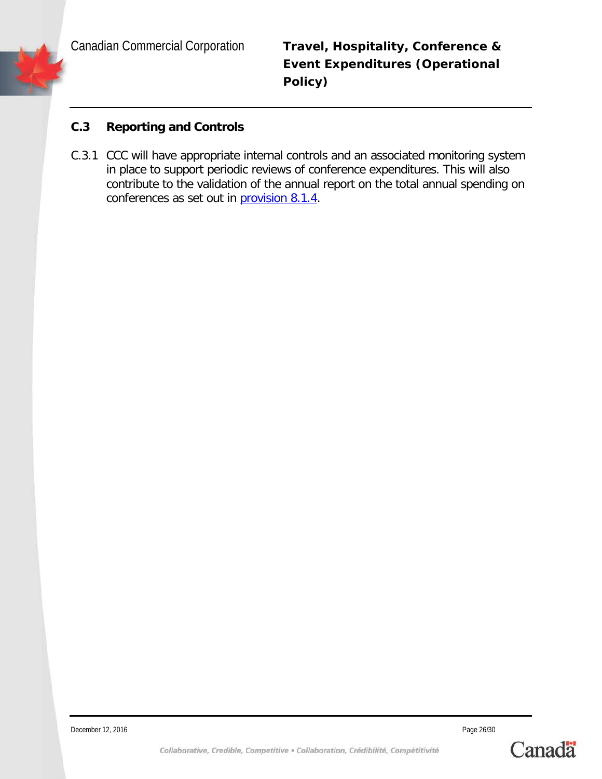

Canadian Commercial Corporation **Travel, Hospitality, Conference & Event Expenditures (Operational Policy)**

## **C.3 Reporting and Controls**

C.3.1 CCC will have appropriate internal controls and an associated monitoring system in place to support periodic reviews of conference expenditures. This will also contribute to the validation of the annual report on the total annual spending on conferences as set out in [provision 8.1.4.](#page-3-0)

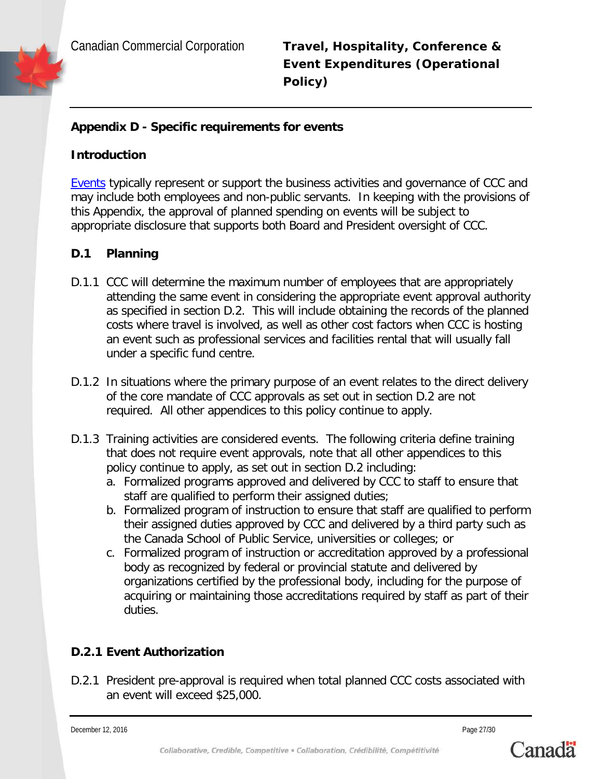### **Appendix D - Specific requirements for events**

## **Introduction**

[Events](#page-28-2) typically represent or support the business activities and governance of CCC and may include both employees and non-public servants. In keeping with the provisions of this Appendix, the approval of planned spending on events will be subject to appropriate disclosure that supports both Board and President oversight of CCC.

## **D.1 Planning**

- D.1.1 CCC will determine the maximum number of employees that are appropriately attending the same event in considering the appropriate event approval authority as specified in section D.2. This will include obtaining the records of the planned costs where travel is involved, as well as other cost factors when CCC is hosting an event such as professional services and facilities rental that will usually fall under a specific fund centre.
- D.1.2 In situations where the primary purpose of an event relates to the direct delivery of the core mandate of CCC approvals as set out in section D.2 are not required. All other appendices to this policy continue to apply.
- D.1.3 Training activities are considered events. The following criteria define training that does not require event approvals, note that all other appendices to this policy continue to apply, as set out in section D.2 including:
	- a. Formalized programs approved and delivered by CCC to staff to ensure that staff are qualified to perform their assigned duties;
	- b. Formalized program of instruction to ensure that staff are qualified to perform their assigned duties approved by CCC and delivered by a third party such as the Canada School of Public Service, universities or colleges; or
	- c. Formalized program of instruction or accreditation approved by a professional body as recognized by federal or provincial statute and delivered by organizations certified by the professional body, including for the purpose of acquiring or maintaining those accreditations required by staff as part of their duties.

# **D.2.1 Event Authorization**

D.2.1 President pre-approval is required when total planned CCC costs associated with an event will exceed \$25,000.

December 12, 2016 Page 27/30

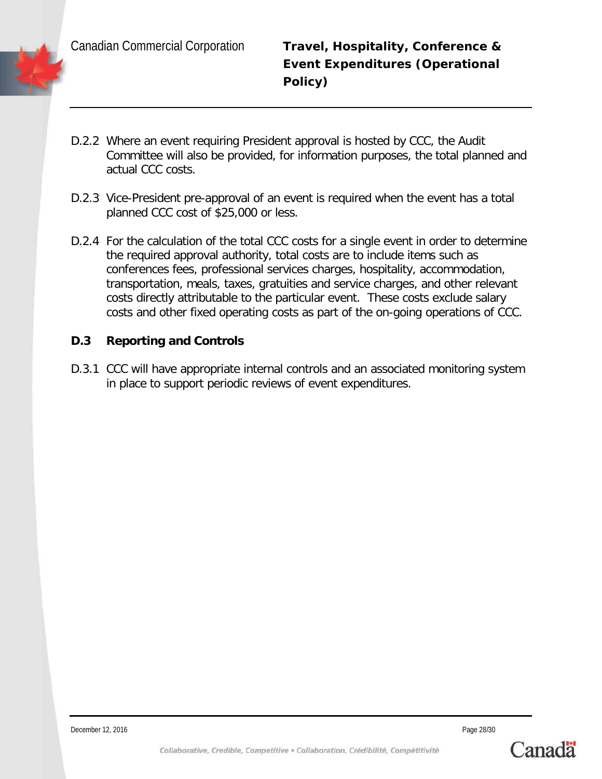

Canadian Commercial Corporation **Travel, Hospitality, Conference & Event Expenditures (Operational Policy)**

- D.2.2 Where an event requiring President approval is hosted by CCC, the Audit Committee will also be provided, for information purposes, the total planned and actual CCC costs.
- D.2.3 Vice-President pre-approval of an event is required when the event has a total planned CCC cost of \$25,000 or less.
- D.2.4 For the calculation of the total CCC costs for a single event in order to determine the required approval authority, total costs are to include items such as conferences fees, professional services charges, hospitality, accommodation, transportation, meals, taxes, gratuities and service charges, and other relevant costs directly attributable to the particular event. These costs exclude salary costs and other fixed operating costs as part of the on-going operations of CCC.

## **D.3 Reporting and Controls**

D.3.1 CCC will have appropriate internal controls and an associated monitoring system in place to support periodic reviews of event expenditures.

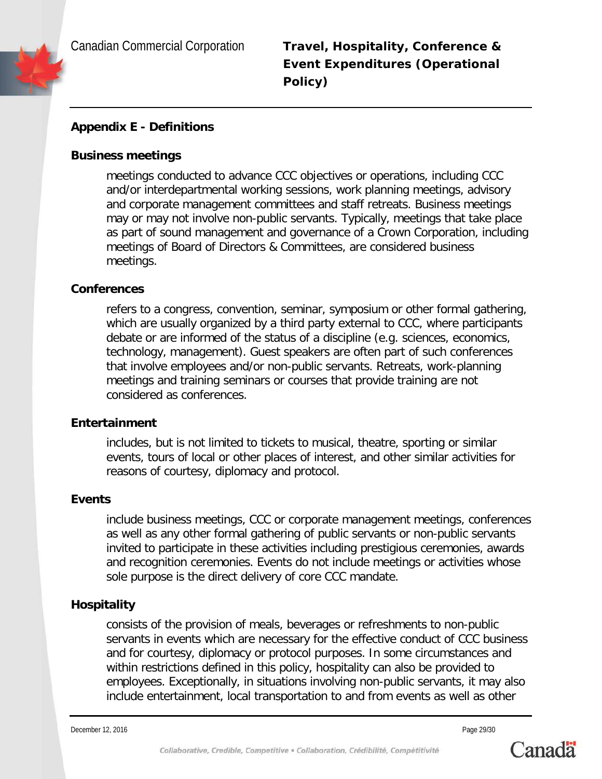### **Appendix E - Definitions**

### **Business meetings**

meetings conducted to advance CCC objectives or operations, including CCC and/or interdepartmental working sessions, work planning meetings, advisory and corporate management committees and staff retreats. Business meetings may or may not involve non-public servants. Typically, meetings that take place as part of sound management and governance of a Crown Corporation, including meetings of Board of Directors & Committees, are considered business meetings.

### <span id="page-28-1"></span>**Conferences**

refers to a congress, convention, seminar, symposium or other formal gathering, which are usually organized by a third party external to CCC, where participants debate or are informed of the status of a discipline (e.g. sciences, economics, technology, management). Guest speakers are often part of such conferences that involve employees and/or non-public servants. Retreats, work-planning meetings and training seminars or courses that provide training are not considered as conferences.

### <span id="page-28-0"></span>**Entertainment**

includes, but is not limited to tickets to musical, theatre, sporting or similar events, tours of local or other places of interest, and other similar activities for reasons of courtesy, diplomacy and protocol.

### <span id="page-28-2"></span>**Events**

include business meetings, CCC or corporate management meetings, conferences as well as any other formal gathering of public servants or non-public servants invited to participate in these activities including prestigious ceremonies, awards and recognition ceremonies. Events do not include meetings or activities whose sole purpose is the direct delivery of core CCC mandate.

### **Hospitality**

consists of the provision of meals, beverages or refreshments to non-public servants in events which are necessary for the effective conduct of CCC business and for courtesy, diplomacy or protocol purposes. In some circumstances and within restrictions defined in this policy, hospitality can also be provided to employees. Exceptionally, in situations involving non-public servants, it may also include entertainment, local transportation to and from events as well as other